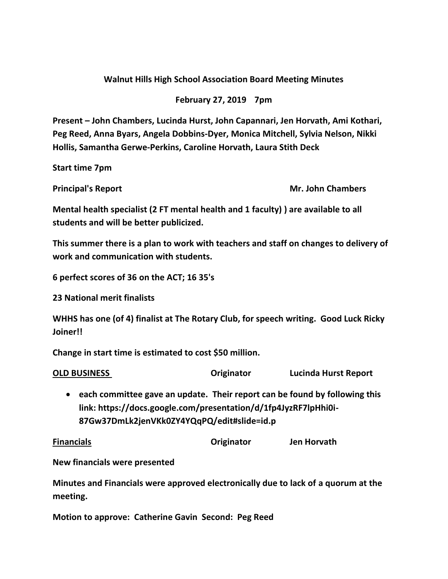## **Walnut Hills High School Association Board Meeting Minutes**

## **February 27, 2019 7pm**

**Present – John Chambers, Lucinda Hurst, John Capannari, Jen Horvath, Ami Kothari, Peg Reed, Anna Byars, Angela Dobbins-Dyer, Monica Mitchell, Sylvia Nelson, Nikki Hollis, Samantha Gerwe-Perkins, Caroline Horvath, Laura Stith Deck**

**Start time 7pm**

**Principal's Report Mr. John Chambers** 

**Mental health specialist (2 FT mental health and 1 faculty) ) are available to all students and will be better publicized.**

**This summer there is a plan to work with teachers and staff on changes to delivery of work and communication with students.**

**6 perfect scores of 36 on the ACT; 16 35's**

**23 National merit finalists**

**WHHS has one (of 4) finalist at The Rotary Club, for speech writing. Good Luck Ricky Joiner!!**

**Change in start time is estimated to cost \$50 million.**

**OLD BUSINESS Originator Lucinda Hurst Report**

• **each committee gave an update. Their report can be found by following this link: https://docs.google.com/presentation/d/1fp4JyzRF7lpHhi0i-87Gw37DmLk2jenVKk0ZY4YQqPQ/edit#slide=id.p**

**Financials Originator Jen Horvath**

**New financials were presented**

**Minutes and Financials were approved electronically due to lack of a quorum at the meeting.** 

**Motion to approve: Catherine Gavin Second: Peg Reed**